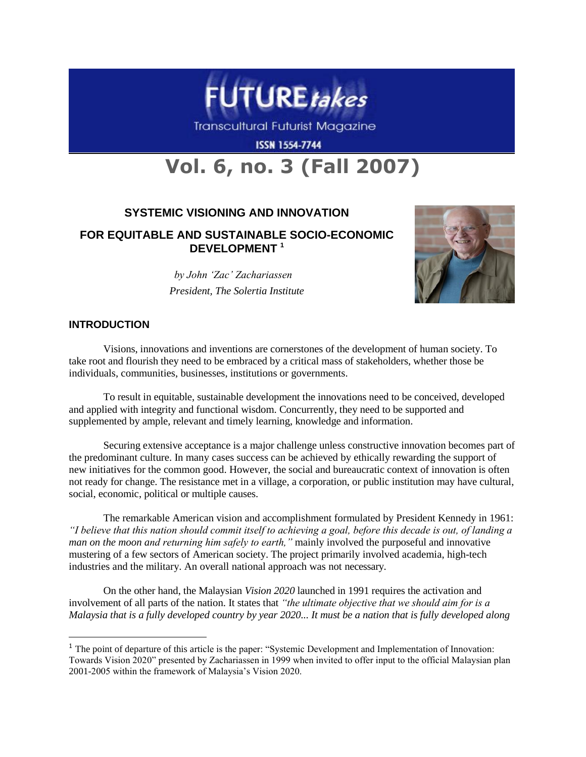

**Transcultural Futurist Magazine** 

**ISSN 1554-7744** 

# **Vol. 6, no. 3 (Fall 2007)**

# **SYSTEMIC VISIONING AND INNOVATION**

# **FOR EQUITABLE AND SUSTAINABLE SOCIO-ECONOMIC DEVELOPMENT <sup>1</sup>**

 *by John "Zac" Zachariassen President, The Solertia Institute*



# **INTRODUCTION**

 $\overline{a}$ 

Visions, innovations and inventions are cornerstones of the development of human society. To take root and flourish they need to be embraced by a critical mass of stakeholders, whether those be individuals, communities, businesses, institutions or governments.

To result in equitable, sustainable development the innovations need to be conceived, developed and applied with integrity and functional wisdom. Concurrently, they need to be supported and supplemented by ample, relevant and timely learning, knowledge and information.

Securing extensive acceptance is a major challenge unless constructive innovation becomes part of the predominant culture. In many cases success can be achieved by ethically rewarding the support of new initiatives for the common good. However, the social and bureaucratic context of innovation is often not ready for change. The resistance met in a village, a corporation, or public institution may have cultural, social, economic, political or multiple causes.

The remarkable American vision and accomplishment formulated by President Kennedy in 1961: *"I believe that this nation should commit itself to achieving a goal, before this decade is out, of landing a man on the moon and returning him safely to earth,"* mainly involved the purposeful and innovative mustering of a few sectors of American society. The project primarily involved academia, high-tech industries and the military. An overall national approach was not necessary.

On the other hand, the Malaysian *Vision 2020* launched in 1991 requires the activation and involvement of all parts of the nation. It states that *"the ultimate objective that we should aim for is a Malaysia that is a fully developed country by year 2020... It must be a nation that is fully developed along* 

<sup>&</sup>lt;sup>1</sup> The point of departure of this article is the paper: "Systemic Development and Implementation of Innovation: Towards Vision 2020" presented by Zachariassen in 1999 when invited to offer input to the official Malaysian plan 2001-2005 within the framework of Malaysia's Vision 2020.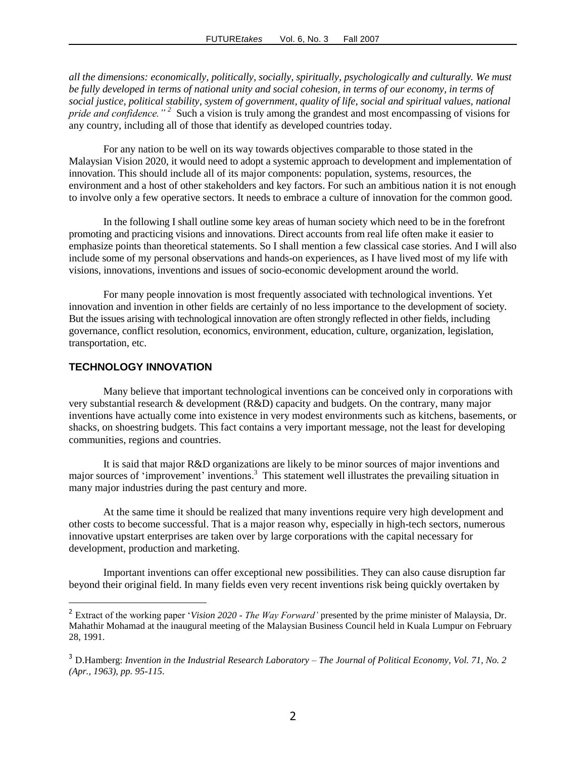*all the dimensions: economically, politically, socially, spiritually, psychologically and culturally. We must be fully developed in terms of national unity and social cohesion, in terms of our economy, in terms of social justice, political stability, system of government, quality of life, social and spiritual values, national pride and confidence.*"<sup>2</sup> Such a vision is truly among the grandest and most encompassing of visions for any country, including all of those that identify as developed countries today.

For any nation to be well on its way towards objectives comparable to those stated in the Malaysian Vision 2020, it would need to adopt a systemic approach to development and implementation of innovation. This should include all of its major components: population, systems, resources, the environment and a host of other stakeholders and key factors. For such an ambitious nation it is not enough to involve only a few operative sectors. It needs to embrace a culture of innovation for the common good.

In the following I shall outline some key areas of human society which need to be in the forefront promoting and practicing visions and innovations. Direct accounts from real life often make it easier to emphasize points than theoretical statements. So I shall mention a few classical case stories. And I will also include some of my personal observations and hands-on experiences, as I have lived most of my life with visions, innovations, inventions and issues of socio-economic development around the world.

For many people innovation is most frequently associated with technological inventions. Yet innovation and invention in other fields are certainly of no less importance to the development of society. But the issues arising with technological innovation are often strongly reflected in other fields, including governance, conflict resolution, economics, environment, education, culture, organization, legislation, transportation, etc.

# **TECHNOLOGY INNOVATION**

 $\overline{a}$ 

Many believe that important technological inventions can be conceived only in corporations with very substantial research & development (R&D) capacity and budgets. On the contrary, many major inventions have actually come into existence in very modest environments such as kitchens, basements, or shacks, on shoestring budgets. This fact contains a very important message, not the least for developing communities, regions and countries.

It is said that major R&D organizations are likely to be minor sources of major inventions and major sources of 'improvement' inventions.<sup>3</sup> This statement well illustrates the prevailing situation in many major industries during the past century and more.

At the same time it should be realized that many inventions require very high development and other costs to become successful. That is a major reason why, especially in high-tech sectors, numerous innovative upstart enterprises are taken over by large corporations with the capital necessary for development, production and marketing.

Important inventions can offer exceptional new possibilities. They can also cause disruption far beyond their original field. In many fields even very recent inventions risk being quickly overtaken by

<sup>&</sup>lt;sup>2</sup> Extract of the working paper '*Vision 2020 - The Way Forward'* presented by the prime minister of Malaysia, Dr. Mahathir Mohamad at the inaugural meeting of the Malaysian Business Council held in Kuala Lumpur on February 28, 1991.

<sup>3</sup> D.Hamberg: *Invention in the Industrial Research Laboratory – The Journal of Political Economy, Vol. 71, No. 2 (Apr., 1963), pp. 95-115*.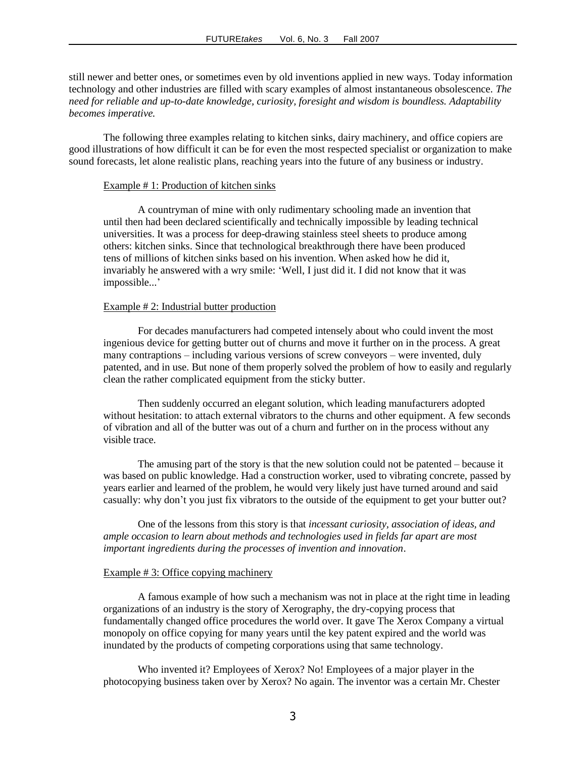still newer and better ones, or sometimes even by old inventions applied in new ways. Today information technology and other industries are filled with scary examples of almost instantaneous obsolescence. *The need for reliable and up-to-date knowledge, curiosity, foresight and wisdom is boundless. Adaptability becomes imperative.*

The following three examples relating to kitchen sinks, dairy machinery, and office copiers are good illustrations of how difficult it can be for even the most respected specialist or organization to make sound forecasts, let alone realistic plans, reaching years into the future of any business or industry.

# Example # 1: Production of kitchen sinks

A countryman of mine with only rudimentary schooling made an invention that until then had been declared scientifically and technically impossible by leading technical universities. It was a process for deep-drawing stainless steel sheets to produce among others: kitchen sinks. Since that technological breakthrough there have been produced tens of millions of kitchen sinks based on his invention. When asked how he did it, invariably he answered with a wry smile: ‗Well, I just did it. I did not know that it was impossible...'

### Example # 2: Industrial butter production

For decades manufacturers had competed intensely about who could invent the most ingenious device for getting butter out of churns and move it further on in the process. A great many contraptions – including various versions of screw conveyors – were invented, duly patented, and in use. But none of them properly solved the problem of how to easily and regularly clean the rather complicated equipment from the sticky butter.

Then suddenly occurred an elegant solution, which leading manufacturers adopted without hesitation: to attach external vibrators to the churns and other equipment. A few seconds of vibration and all of the butter was out of a churn and further on in the process without any visible trace.

The amusing part of the story is that the new solution could not be patented – because it was based on public knowledge. Had a construction worker, used to vibrating concrete, passed by years earlier and learned of the problem, he would very likely just have turned around and said casually: why don't you just fix vibrators to the outside of the equipment to get your butter out?

One of the lessons from this story is that *incessant curiosity, association of ideas, and ample occasion to learn about methods and technologies used in fields far apart are most important ingredients during the processes of invention and innovation*.

#### Example #3: Office copying machinery

A famous example of how such a mechanism was not in place at the right time in leading organizations of an industry is the story of Xerography, the dry-copying process that fundamentally changed office procedures the world over. It gave The Xerox Company a virtual monopoly on office copying for many years until the key patent expired and the world was inundated by the products of competing corporations using that same technology.

Who invented it? Employees of Xerox? No! Employees of a major player in the photocopying business taken over by Xerox? No again. The inventor was a certain Mr. Chester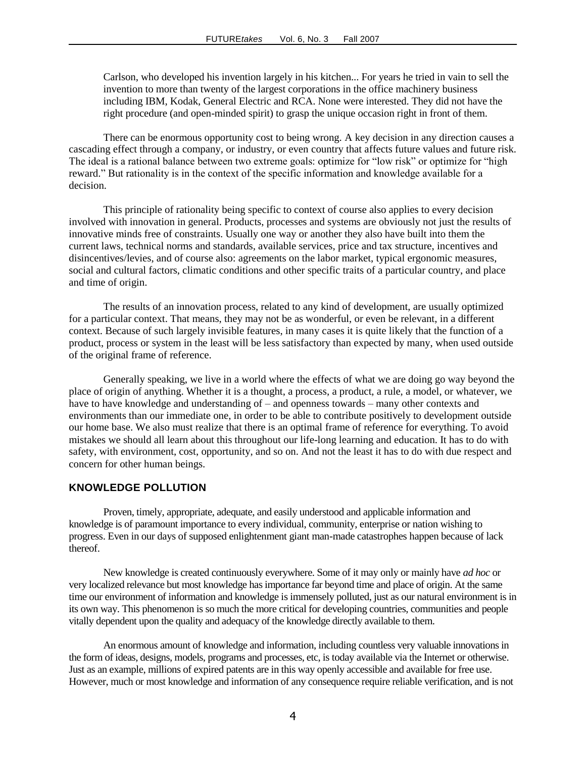Carlson, who developed his invention largely in his kitchen... For years he tried in vain to sell the invention to more than twenty of the largest corporations in the office machinery business including IBM, Kodak, General Electric and RCA. None were interested. They did not have the right procedure (and open-minded spirit) to grasp the unique occasion right in front of them.

There can be enormous opportunity cost to being wrong. A key decision in any direction causes a cascading effect through a company, or industry, or even country that affects future values and future risk. The ideal is a rational balance between two extreme goals: optimize for "low risk" or optimize for "high reward." But rationality is in the context of the specific information and knowledge available for a decision.

This principle of rationality being specific to context of course also applies to every decision involved with innovation in general. Products, processes and systems are obviously not just the results of innovative minds free of constraints. Usually one way or another they also have built into them the current laws, technical norms and standards, available services, price and tax structure, incentives and disincentives/levies, and of course also: agreements on the labor market, typical ergonomic measures, social and cultural factors, climatic conditions and other specific traits of a particular country, and place and time of origin.

The results of an innovation process, related to any kind of development, are usually optimized for a particular context. That means, they may not be as wonderful, or even be relevant, in a different context. Because of such largely invisible features, in many cases it is quite likely that the function of a product, process or system in the least will be less satisfactory than expected by many, when used outside of the original frame of reference.

Generally speaking, we live in a world where the effects of what we are doing go way beyond the place of origin of anything. Whether it is a thought, a process, a product, a rule, a model, or whatever, we have to have knowledge and understanding of – and openness towards – many other contexts and environments than our immediate one, in order to be able to contribute positively to development outside our home base. We also must realize that there is an optimal frame of reference for everything. To avoid mistakes we should all learn about this throughout our life-long learning and education. It has to do with safety, with environment, cost, opportunity, and so on. And not the least it has to do with due respect and concern for other human beings.

# **KNOWLEDGE POLLUTION**

Proven, timely, appropriate, adequate, and easily understood and applicable information and knowledge is of paramount importance to every individual, community, enterprise or nation wishing to progress. Even in our days of supposed enlightenment giant man-made catastrophes happen because of lack thereof.

New knowledge is created continuously everywhere. Some of it may only or mainly have *ad hoc* or very localized relevance but most knowledge has importance far beyond time and place of origin. At the same time our environment of information and knowledge is immensely polluted, just as our natural environment is in its own way. This phenomenon is so much the more critical for developing countries, communities and people vitally dependent upon the quality and adequacy of the knowledge directly available to them.

An enormous amount of knowledge and information, including countless very valuable innovations in the form of ideas, designs, models, programs and processes, etc, is today available via the Internet or otherwise. Just as an example, millions of expired patents are in this way openly accessible and available for free use. However, much or most knowledge and information of any consequence require reliable verification, and is not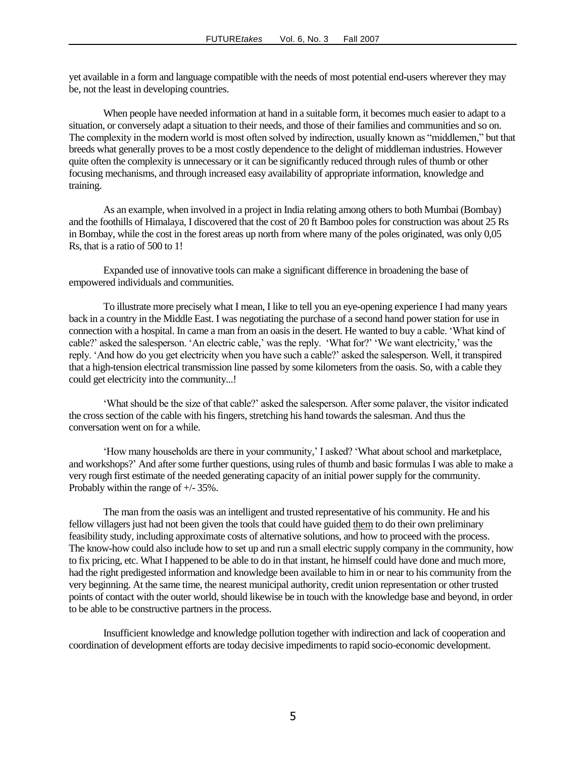yet available in a form and language compatible with the needs of most potential end-users wherever they may be, not the least in developing countries.

When people have needed information at hand in a suitable form, it becomes much easier to adapt to a situation, or conversely adapt a situation to their needs, and those of their families and communities and so on. The complexity in the modern world is most often solved by indirection, usually known as "middlemen," but that breeds what generally proves to be a most costly dependence to the delight of middleman industries. However quite often the complexity is unnecessary or it can be significantly reduced through rules of thumb or other focusing mechanisms, and through increased easy availability of appropriate information, knowledge and training.

As an example, when involved in a project in India relating among others to both Mumbai (Bombay) and the foothills of Himalaya, I discovered that the cost of 20 ft Bamboo poles for construction was about 25 Rs in Bombay, while the cost in the forest areas up north from where many of the poles originated, was only 0,05 Rs, that is a ratio of 500 to 1!

Expanded use of innovative tools can make a significant difference in broadening the base of empowered individuals and communities.

To illustrate more precisely what I mean, I like to tell you an eye-opening experience I had many years back in a country in the Middle East. I was negotiating the purchase of a second hand power station for use in connection with a hospital. In came a man from an oasis in the desert. He wanted to buy a cable. 'What kind of cable?' asked the salesperson. 'An electric cable,' was the reply. 'What for?' 'We want electricity,' was the reply. ‗And how do you get electricity when you have such a cable?' asked the salesperson. Well, it transpired that a high-tension electrical transmission line passed by some kilometers from the oasis. So, with a cable they could get electricity into the community...!

‗What should be the size of that cable?' asked the salesperson. After some palaver, the visitor indicated the cross section of the cable with his fingers, stretching his hand towards the salesman. And thus the conversation went on for a while.

‗How many households are there in your community,' I asked? ‗What about school and marketplace, and workshops?' And after some further questions, using rules of thumb and basic formulas I was able to make a very rough first estimate of the needed generating capacity of an initial power supply for the community. Probably within the range of +/- 35%.

The man from the oasis was an intelligent and trusted representative of his community. He and his fellow villagers just had not been given the tools that could have guided them to do their own preliminary feasibility study, including approximate costs of alternative solutions, and how to proceed with the process. The know-how could also include how to set up and run a small electric supply company in the community, how to fix pricing, etc. What I happened to be able to do in that instant, he himself could have done and much more, had the right predigested information and knowledge been available to him in or near to his community from the very beginning. At the same time, the nearest municipal authority, credit union representation or other trusted points of contact with the outer world, should likewise be in touch with the knowledge base and beyond, in order to be able to be constructive partners in the process.

Insufficient knowledge and knowledge pollution together with indirection and lack of cooperation and coordination of development efforts are today decisive impediments to rapid socio-economic development.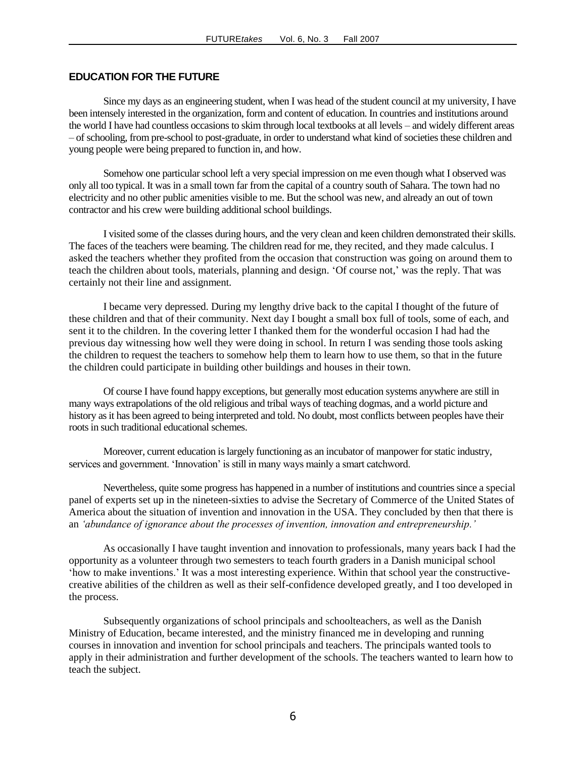## **EDUCATION FOR THE FUTURE**

Since my days as an engineering student, when I was head of the student council at my university, I have been intensely interested in the organization, form and content of education. In countries and institutions around the world I have had countless occasions to skim through local textbooks at all levels – and widely different areas – of schooling, from pre-school to post-graduate, in order to understand what kind of societies these children and young people were being prepared to function in, and how.

Somehow one particular school left a very special impression on me even though what I observed was only all too typical. It was in a small town far from the capital of a country south of Sahara. The town had no electricity and no other public amenities visible to me. But the school was new, and already an out of town contractor and his crew were building additional school buildings.

I visited some of the classes during hours, and the very clean and keen children demonstrated their skills. The faces of the teachers were beaming. The children read for me, they recited, and they made calculus. I asked the teachers whether they profited from the occasion that construction was going on around them to teach the children about tools, materials, planning and design. ‗Of course not,' was the reply. That was certainly not their line and assignment.

I became very depressed. During my lengthy drive back to the capital I thought of the future of these children and that of their community. Next day I bought a small box full of tools, some of each, and sent it to the children. In the covering letter I thanked them for the wonderful occasion I had had the previous day witnessing how well they were doing in school. In return I was sending those tools asking the children to request the teachers to somehow help them to learn how to use them, so that in the future the children could participate in building other buildings and houses in their town.

Of course I have found happy exceptions, but generally most education systems anywhere are still in many ways extrapolations of the old religious and tribal ways of teaching dogmas, and a world picture and history as it has been agreed to being interpreted and told. No doubt, most conflicts between peoples have their roots in such traditional educational schemes.

Moreover, current education is largely functioning as an incubator of manpower for static industry, services and government. 'Innovation' is still in many ways mainly a smart catchword.

Nevertheless, quite some progress has happened in a number of institutions and countries since a special panel of experts set up in the nineteen-sixties to advise the Secretary of Commerce of the United States of America about the situation of invention and innovation in the USA. They concluded by then that there is an *"abundance of ignorance about the processes of invention, innovation and entrepreneurship."*

As occasionally I have taught invention and innovation to professionals, many years back I had the opportunity as a volunteer through two semesters to teach fourth graders in a Danish municipal school ‗how to make inventions.' It was a most interesting experience. Within that school year the constructivecreative abilities of the children as well as their self-confidence developed greatly, and I too developed in the process.

Subsequently organizations of school principals and schoolteachers, as well as the Danish Ministry of Education, became interested, and the ministry financed me in developing and running courses in innovation and invention for school principals and teachers. The principals wanted tools to apply in their administration and further development of the schools. The teachers wanted to learn how to teach the subject.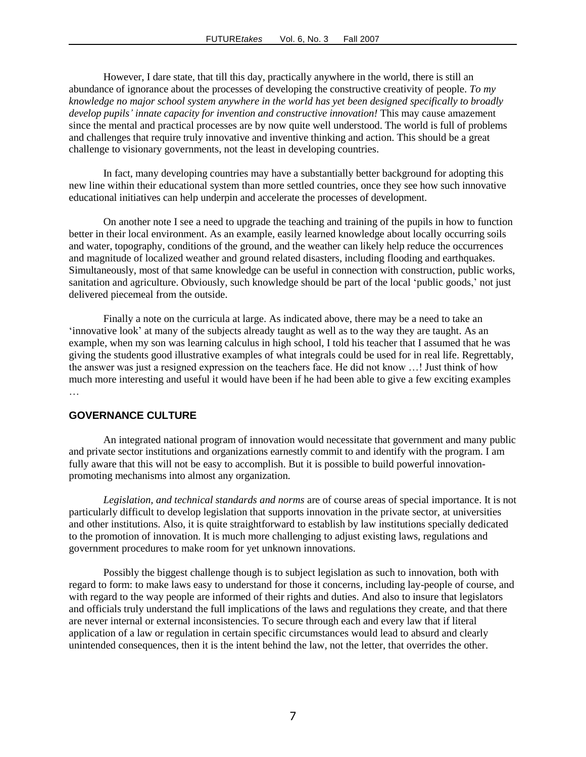However, I dare state, that till this day, practically anywhere in the world, there is still an abundance of ignorance about the processes of developing the constructive creativity of people. *To my knowledge no major school system anywhere in the world has yet been designed specifically to broadly develop pupils" innate capacity for invention and constructive innovation!* This may cause amazement since the mental and practical processes are by now quite well understood. The world is full of problems and challenges that require truly innovative and inventive thinking and action. This should be a great challenge to visionary governments, not the least in developing countries.

In fact, many developing countries may have a substantially better background for adopting this new line within their educational system than more settled countries, once they see how such innovative educational initiatives can help underpin and accelerate the processes of development.

On another note I see a need to upgrade the teaching and training of the pupils in how to function better in their local environment. As an example, easily learned knowledge about locally occurring soils and water, topography, conditions of the ground, and the weather can likely help reduce the occurrences and magnitude of localized weather and ground related disasters, including flooding and earthquakes. Simultaneously, most of that same knowledge can be useful in connection with construction, public works, sanitation and agriculture. Obviously, such knowledge should be part of the local 'public goods,' not just delivered piecemeal from the outside.

Finally a note on the curricula at large. As indicated above, there may be a need to take an ‗innovative look' at many of the subjects already taught as well as to the way they are taught. As an example, when my son was learning calculus in high school, I told his teacher that I assumed that he was giving the students good illustrative examples of what integrals could be used for in real life. Regrettably, the answer was just a resigned expression on the teachers face. He did not know …! Just think of how much more interesting and useful it would have been if he had been able to give a few exciting examples …

# **GOVERNANCE CULTURE**

An integrated national program of innovation would necessitate that government and many public and private sector institutions and organizations earnestly commit to and identify with the program. I am fully aware that this will not be easy to accomplish. But it is possible to build powerful innovationpromoting mechanisms into almost any organization.

*Legislation, and technical standards and norms* are of course areas of special importance. It is not particularly difficult to develop legislation that supports innovation in the private sector, at universities and other institutions. Also, it is quite straightforward to establish by law institutions specially dedicated to the promotion of innovation. It is much more challenging to adjust existing laws, regulations and government procedures to make room for yet unknown innovations.

Possibly the biggest challenge though is to subject legislation as such to innovation, both with regard to form: to make laws easy to understand for those it concerns, including lay-people of course, and with regard to the way people are informed of their rights and duties. And also to insure that legislators and officials truly understand the full implications of the laws and regulations they create, and that there are never internal or external inconsistencies. To secure through each and every law that if literal application of a law or regulation in certain specific circumstances would lead to absurd and clearly unintended consequences, then it is the intent behind the law, not the letter, that overrides the other.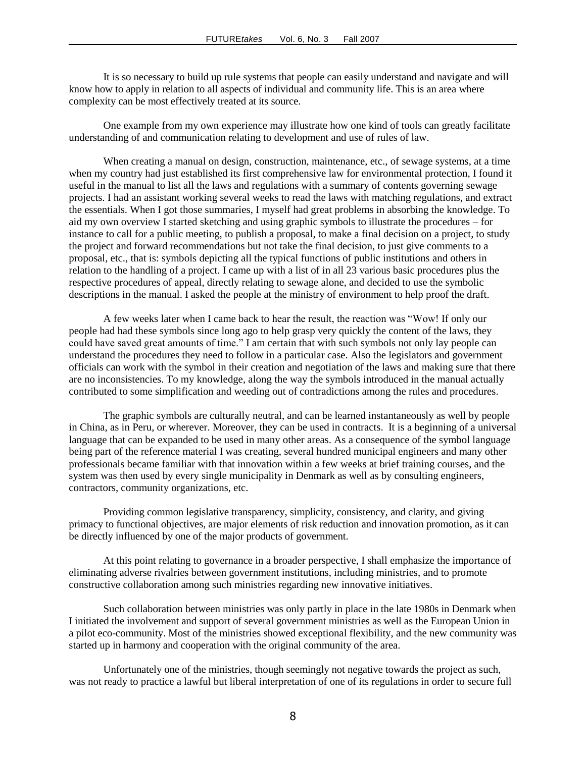It is so necessary to build up rule systems that people can easily understand and navigate and will know how to apply in relation to all aspects of individual and community life. This is an area where complexity can be most effectively treated at its source.

One example from my own experience may illustrate how one kind of tools can greatly facilitate understanding of and communication relating to development and use of rules of law.

When creating a manual on design, construction, maintenance, etc., of sewage systems, at a time when my country had just established its first comprehensive law for environmental protection, I found it useful in the manual to list all the laws and regulations with a summary of contents governing sewage projects. I had an assistant working several weeks to read the laws with matching regulations, and extract the essentials. When I got those summaries, I myself had great problems in absorbing the knowledge. To aid my own overview I started sketching and using graphic symbols to illustrate the procedures – for instance to call for a public meeting, to publish a proposal, to make a final decision on a project, to study the project and forward recommendations but not take the final decision, to just give comments to a proposal, etc., that is: symbols depicting all the typical functions of public institutions and others in relation to the handling of a project. I came up with a list of in all 23 various basic procedures plus the respective procedures of appeal, directly relating to sewage alone, and decided to use the symbolic descriptions in the manual. I asked the people at the ministry of environment to help proof the draft.

A few weeks later when I came back to hear the result, the reaction was "Wow! If only our people had had these symbols since long ago to help grasp very quickly the content of the laws, they could have saved great amounts of time." I am certain that with such symbols not only lay people can understand the procedures they need to follow in a particular case. Also the legislators and government officials can work with the symbol in their creation and negotiation of the laws and making sure that there are no inconsistencies. To my knowledge, along the way the symbols introduced in the manual actually contributed to some simplification and weeding out of contradictions among the rules and procedures.

The graphic symbols are culturally neutral, and can be learned instantaneously as well by people in China, as in Peru, or wherever. Moreover, they can be used in contracts. It is a beginning of a universal language that can be expanded to be used in many other areas. As a consequence of the symbol language being part of the reference material I was creating, several hundred municipal engineers and many other professionals became familiar with that innovation within a few weeks at brief training courses, and the system was then used by every single municipality in Denmark as well as by consulting engineers, contractors, community organizations, etc.

Providing common legislative transparency, simplicity, consistency, and clarity, and giving primacy to functional objectives, are major elements of risk reduction and innovation promotion, as it can be directly influenced by one of the major products of government.

At this point relating to governance in a broader perspective, I shall emphasize the importance of eliminating adverse rivalries between government institutions, including ministries, and to promote constructive collaboration among such ministries regarding new innovative initiatives.

Such collaboration between ministries was only partly in place in the late 1980s in Denmark when I initiated the involvement and support of several government ministries as well as the European Union in a pilot eco-community. Most of the ministries showed exceptional flexibility, and the new community was started up in harmony and cooperation with the original community of the area.

Unfortunately one of the ministries, though seemingly not negative towards the project as such, was not ready to practice a lawful but liberal interpretation of one of its regulations in order to secure full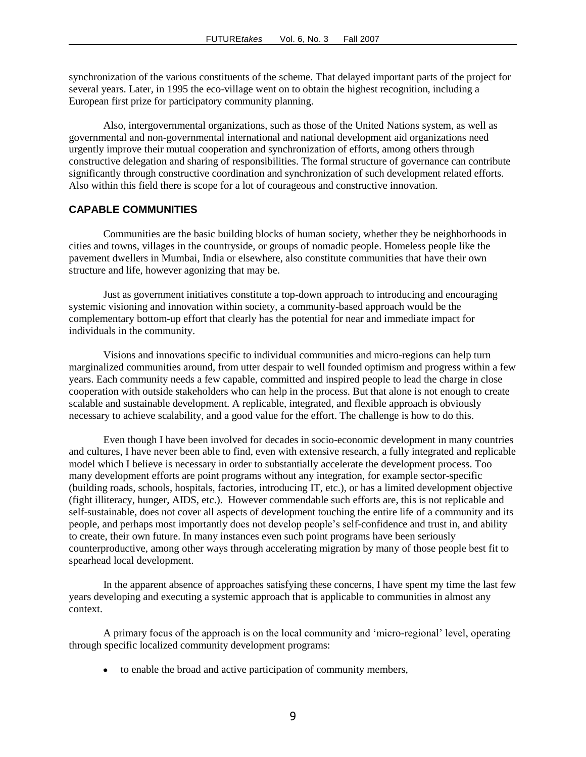synchronization of the various constituents of the scheme. That delayed important parts of the project for several years. Later, in 1995 the eco-village went on to obtain the highest recognition, including a European first prize for participatory community planning.

Also, intergovernmental organizations, such as those of the United Nations system, as well as governmental and non-governmental international and national development aid organizations need urgently improve their mutual cooperation and synchronization of efforts, among others through constructive delegation and sharing of responsibilities. The formal structure of governance can contribute significantly through constructive coordination and synchronization of such development related efforts. Also within this field there is scope for a lot of courageous and constructive innovation.

## **CAPABLE COMMUNITIES**

Communities are the basic building blocks of human society, whether they be neighborhoods in cities and towns, villages in the countryside, or groups of nomadic people. Homeless people like the pavement dwellers in Mumbai, India or elsewhere, also constitute communities that have their own structure and life, however agonizing that may be.

Just as government initiatives constitute a top-down approach to introducing and encouraging systemic visioning and innovation within society, a community-based approach would be the complementary bottom-up effort that clearly has the potential for near and immediate impact for individuals in the community.

Visions and innovations specific to individual communities and micro-regions can help turn marginalized communities around, from utter despair to well founded optimism and progress within a few years. Each community needs a few capable, committed and inspired people to lead the charge in close cooperation with outside stakeholders who can help in the process. But that alone is not enough to create scalable and sustainable development. A replicable, integrated, and flexible approach is obviously necessary to achieve scalability, and a good value for the effort. The challenge is how to do this.

Even though I have been involved for decades in socio-economic development in many countries and cultures, I have never been able to find, even with extensive research, a fully integrated and replicable model which I believe is necessary in order to substantially accelerate the development process. Too many development efforts are point programs without any integration, for example sector-specific (building roads, schools, hospitals, factories, introducing IT, etc.), or has a limited development objective (fight illiteracy, hunger, AIDS, etc.). However commendable such efforts are, this is not replicable and self-sustainable, does not cover all aspects of development touching the entire life of a community and its people, and perhaps most importantly does not develop people's self-confidence and trust in, and ability to create, their own future. In many instances even such point programs have been seriously counterproductive, among other ways through accelerating migration by many of those people best fit to spearhead local development.

In the apparent absence of approaches satisfying these concerns, I have spent my time the last few years developing and executing a systemic approach that is applicable to communities in almost any context.

A primary focus of the approach is on the local community and ‗micro-regional' level, operating through specific localized community development programs:

to enable the broad and active participation of community members,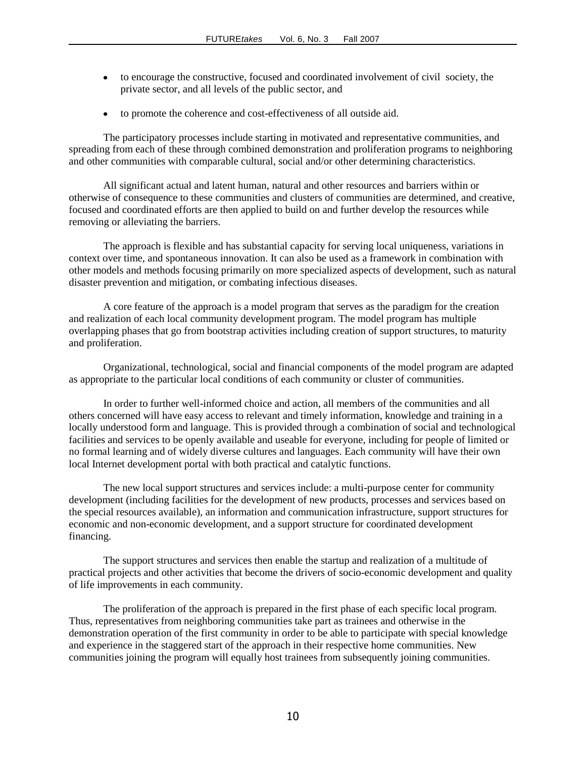- to encourage the constructive, focused and coordinated involvement of civil society, the private sector, and all levels of the public sector, and
- to promote the coherence and cost-effectiveness of all outside aid.

The participatory processes include starting in motivated and representative communities, and spreading from each of these through combined demonstration and proliferation programs to neighboring and other communities with comparable cultural, social and/or other determining characteristics.

All significant actual and latent human, natural and other resources and barriers within or otherwise of consequence to these communities and clusters of communities are determined, and creative, focused and coordinated efforts are then applied to build on and further develop the resources while removing or alleviating the barriers.

The approach is flexible and has substantial capacity for serving local uniqueness, variations in context over time, and spontaneous innovation. It can also be used as a framework in combination with other models and methods focusing primarily on more specialized aspects of development, such as natural disaster prevention and mitigation, or combating infectious diseases.

A core feature of the approach is a model program that serves as the paradigm for the creation and realization of each local community development program. The model program has multiple overlapping phases that go from bootstrap activities including creation of support structures, to maturity and proliferation.

Organizational, technological, social and financial components of the model program are adapted as appropriate to the particular local conditions of each community or cluster of communities.

In order to further well-informed choice and action, all members of the communities and all others concerned will have easy access to relevant and timely information, knowledge and training in a locally understood form and language. This is provided through a combination of social and technological facilities and services to be openly available and useable for everyone, including for people of limited or no formal learning and of widely diverse cultures and languages. Each community will have their own local Internet development portal with both practical and catalytic functions.

The new local support structures and services include: a multi-purpose center for community development (including facilities for the development of new products, processes and services based on the special resources available), an information and communication infrastructure, support structures for economic and non-economic development, and a support structure for coordinated development financing.

The support structures and services then enable the startup and realization of a multitude of practical projects and other activities that become the drivers of socio-economic development and quality of life improvements in each community.

The proliferation of the approach is prepared in the first phase of each specific local program. Thus, representatives from neighboring communities take part as trainees and otherwise in the demonstration operation of the first community in order to be able to participate with special knowledge and experience in the staggered start of the approach in their respective home communities. New communities joining the program will equally host trainees from subsequently joining communities.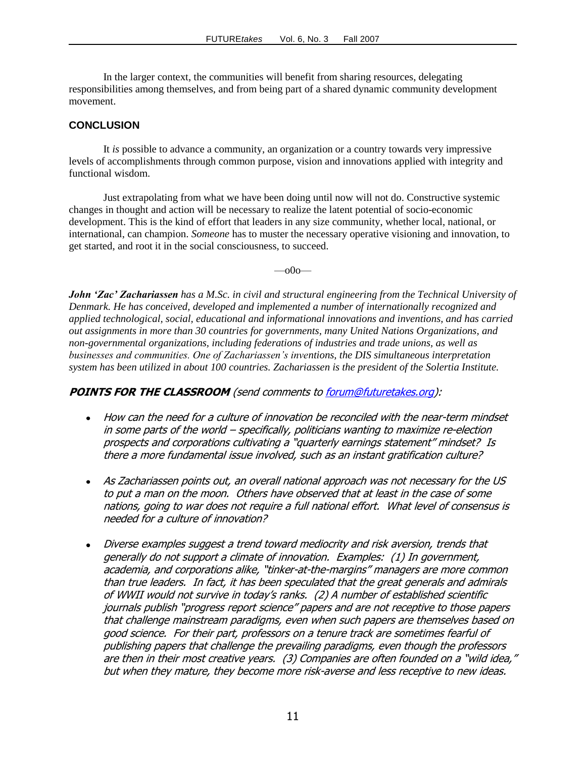In the larger context, the communities will benefit from sharing resources, delegating responsibilities among themselves, and from being part of a shared dynamic community development movement.

# **CONCLUSION**

It *is* possible to advance a community, an organization or a country towards very impressive levels of accomplishments through common purpose, vision and innovations applied with integrity and functional wisdom.

Just extrapolating from what we have been doing until now will not do. Constructive systemic changes in thought and action will be necessary to realize the latent potential of socio-economic development. This is the kind of effort that leaders in any size community, whether local, national, or international, can champion. *Someone* has to muster the necessary operative visioning and innovation, to get started, and root it in the social consciousness, to succeed.

 $-$ <sup>00</sub> $-$ </sup>

*John 'Zac' Zachariassen has a M.Sc. in civil and structural engineering from the Technical University of Denmark. He has conceived, developed and implemented a number of internationally recognized and applied technological, social, educational and informational innovations and inventions, and has carried out assignments in more than 30 countries for governments, many United Nations Organizations, and non-governmental organizations, including federations of industries and trade unions, as well as businesses and communities. One of Zachariassen"s inventions, the DIS simultaneous interpretation system has been utilized in about 100 countries. Zachariassen is the president of the Solertia Institute.*

# **POINTS FOR THE CLASSROOM** (send comments t[o forum@futuretakes.org\)](mailto:forum@futuretakes.org):

- How can the need for a culture of innovation be reconciled with the near-term mindset in some parts of the world – specifically, politicians wanting to maximize re-election prospects and corporations cultivating <sup>a</sup>"quarterly earnings statement" mindset? Is there a more fundamental issue involved, such as an instant gratification culture?
- As Zachariassen points out, an overall national approach was not necessary for the US to put a man on the moon. Others have observed that at least in the case of some nations, going to war does not require a full national effort. What level of consensus is needed for a culture of innovation?
- Diverse examples suggest a trend toward mediocrity and risk aversion, trends that generally do not support a climate of innovation. Examples: (1) In government, academia, and corporations alike, "tinker-at-the-margins" managers are more common than true leaders. In fact, it has been speculated that the great generals and admirals of WWII would not survive in today's ranks. (2) A number of established scientific journals publish "progress report science" papers and are not receptive to those papers that challenge mainstream paradigms, even when such papers are themselves based on good science. For their part, professors on a tenure track are sometimes fearful of publishing papers that challenge the prevailing paradigms, even though the professors are then in their most creative years. (3) Companies are often founded on a "wild idea," but when they mature, they become more risk-averse and less receptive to new ideas.